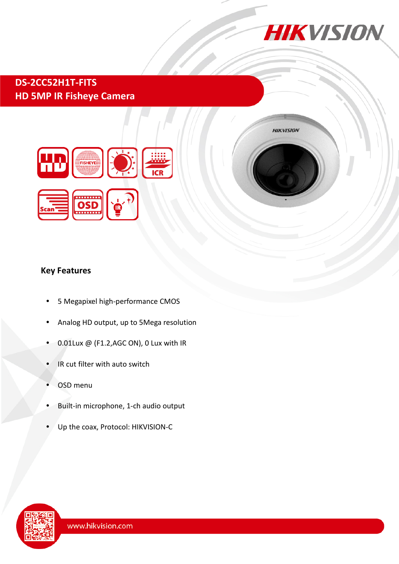

## **DS-2CC52H1T-FITS HD 5MP IR Fisheye Camera**





## **Key Features**

- 5 Megapixel high-performance CMOS
- Analog HD output, up to 5Mega resolution
- 0.01Lux @ (F1.2,AGC ON), 0 Lux with IR
- IR cut filter with auto switch
- OSD menu
- Built-in microphone, 1-ch audio output
- Up the coax, Protocol: HIKVISION-C

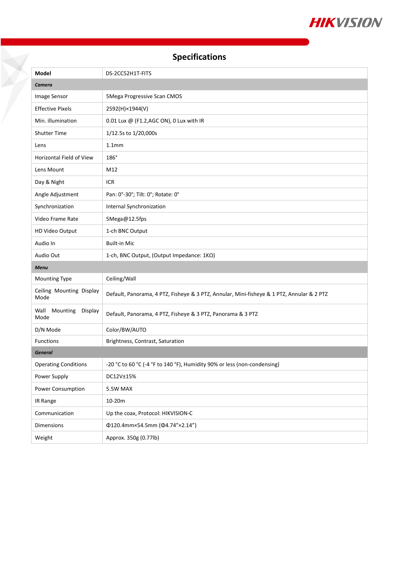

# **Specifications**

| <b>Model</b>                        | DS-2CC52H1T-FITS                                                                          |
|-------------------------------------|-------------------------------------------------------------------------------------------|
| Camera                              |                                                                                           |
| Image Sensor                        | 5Mega Progressive Scan CMOS                                                               |
| <b>Effective Pixels</b>             | 2592(H)×1944(V)                                                                           |
| Min. illumination                   | 0.01 Lux @ (F1.2,AGC ON), 0 Lux with IR                                                   |
| <b>Shutter Time</b>                 | 1/12.5s to 1/20,000s                                                                      |
| Lens                                | 1.1 <sub>mm</sub>                                                                         |
| Horizontal Field of View            | 186°                                                                                      |
| Lens Mount                          | M12                                                                                       |
| Day & Night                         | <b>ICR</b>                                                                                |
| Angle Adjustment                    | Pan: 0°-30°; Tilt: 0°; Rotate: 0°                                                         |
| Synchronization                     | Internal Synchronization                                                                  |
| Video Frame Rate                    | 5Mega@12.5fps                                                                             |
| HD Video Output                     | 1-ch BNC Output                                                                           |
| Audio In                            | <b>Built-in Mic</b>                                                                       |
| Audio Out                           | 1-ch, BNC Output, (Output Impedance: 1ΚΩ)                                                 |
| Menu                                |                                                                                           |
| Mounting Type                       | Ceiling/Wall                                                                              |
| Ceiling Mounting Display<br>Mode    | Default, Panorama, 4 PTZ, Fisheye & 3 PTZ, Annular, Mini-fisheye & 1 PTZ, Annular & 2 PTZ |
| Wall<br>Mounting<br>Display<br>Mode | Default, Panorama, 4 PTZ, Fisheye & 3 PTZ, Panorama & 3 PTZ                               |
| D/N Mode                            | Color/BW/AUTO                                                                             |
| Functions                           | Brightness, Contrast, Saturation                                                          |
| <b>General</b>                      |                                                                                           |
| <b>Operating Conditions</b>         | -20 °C to 60 °C (-4 °F to 140 °F), Humidity 90% or less (non-condensing)                  |
| Power Supply                        | DC12V±15%                                                                                 |
| Power Consumption                   | 5.5W MAX                                                                                  |
| IR Range                            | 10-20m                                                                                    |
| Communication                       | Up the coax, Protocol: HIKVISION-C                                                        |
| Dimensions                          | Φ120.4mm×54.5mm (Φ4.74"×2.14")                                                            |
| Weight                              | Approx. 350g (0.77lb)                                                                     |